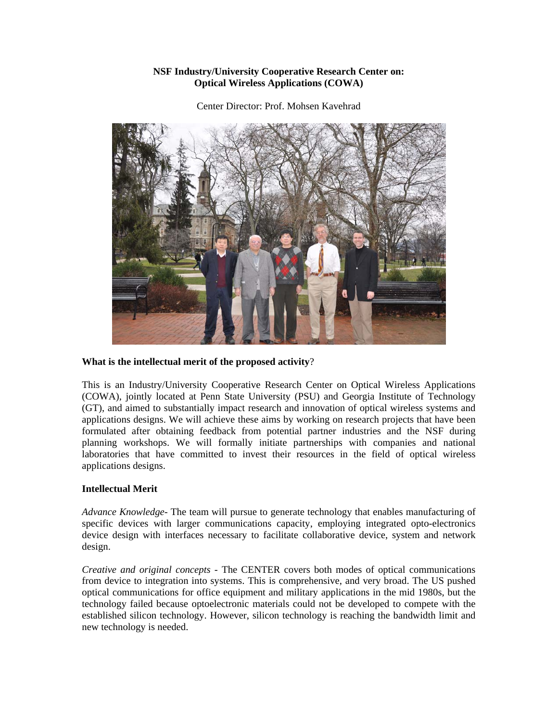## **NSF Industry/University Cooperative Research Center on: Optical Wireless Applications (COWA)**

Center Director: Prof. Mohsen Kavehrad



## **What is the intellectual merit of the proposed activity**?

This is an Industry/University Cooperative Research Center on Optical Wireless Applications (COWA), jointly located at Penn State University (PSU) and Georgia Institute of Technology (GT), and aimed to substantially impact research and innovation of optical wireless systems and applications designs. We will achieve these aims by working on research projects that have been formulated after obtaining feedback from potential partner industries and the NSF during planning workshops. We will formally initiate partnerships with companies and national laboratories that have committed to invest their resources in the field of optical wireless applications designs.

## **Intellectual Merit**

*Advance Knowledge-* The team will pursue to generate technology that enables manufacturing of specific devices with larger communications capacity, employing integrated opto-electronics device design with interfaces necessary to facilitate collaborative device, system and network design.

*Creative and original concepts -* The CENTER covers both modes of optical communications from device to integration into systems. This is comprehensive, and very broad. The US pushed optical communications for office equipment and military applications in the mid 1980s, but the technology failed because optoelectronic materials could not be developed to compete with the established silicon technology. However, silicon technology is reaching the bandwidth limit and new technology is needed.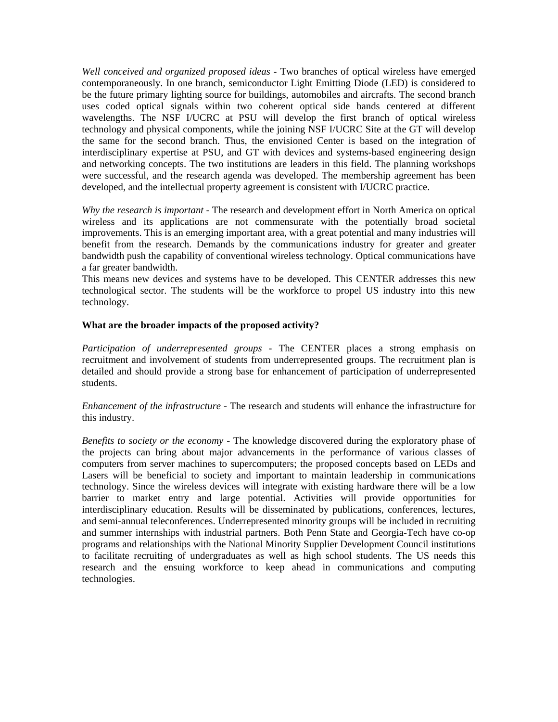*Well conceived and organized proposed ideas* - Two branches of optical wireless have emerged contemporaneously. In one branch, semiconductor Light Emitting Diode (LED) is considered to be the future primary lighting source for buildings, automobiles and aircrafts. The second branch uses coded optical signals within two coherent optical side bands centered at different wavelengths. The NSF I/UCRC at PSU will develop the first branch of optical wireless technology and physical components, while the joining NSF I/UCRC Site at the GT will develop the same for the second branch. Thus, the envisioned Center is based on the integration of interdisciplinary expertise at PSU, and GT with devices and systems-based engineering design and networking concepts. The two institutions are leaders in this field. The planning workshops were successful, and the research agenda was developed. The membership agreement has been developed, and the intellectual property agreement is consistent with I/UCRC practice.

*Why the research is important -* The research and development effort in North America on optical wireless and its applications are not commensurate with the potentially broad societal improvements. This is an emerging important area, with a great potential and many industries will benefit from the research. Demands by the communications industry for greater and greater bandwidth push the capability of conventional wireless technology. Optical communications have a far greater bandwidth.

This means new devices and systems have to be developed. This CENTER addresses this new technological sector. The students will be the workforce to propel US industry into this new technology.

#### **What are the broader impacts of the proposed activity?**

*Participation of underrepresented groups* - The CENTER places a strong emphasis on recruitment and involvement of students from underrepresented groups. The recruitment plan is detailed and should provide a strong base for enhancement of participation of underrepresented students.

## *Enhancement of the infrastructure* - The research and students will enhance the infrastructure for this industry.

*Benefits to society or the economy* - The knowledge discovered during the exploratory phase of the projects can bring about major advancements in the performance of various classes of computers from server machines to supercomputers; the proposed concepts based on LEDs and Lasers will be beneficial to society and important to maintain leadership in communications technology. Since the wireless devices will integrate with existing hardware there will be a low barrier to market entry and large potential. Activities will provide opportunities for interdisciplinary education. Results will be disseminated by publications, conferences, lectures, and semi-annual teleconferences. Underrepresented minority groups will be included in recruiting and summer internships with industrial partners. Both Penn State and Georgia-Tech have co-op programs and relationships with the National Minority Supplier Development Council institutions to facilitate recruiting of undergraduates as well as high school students. The US needs this research and the ensuing workforce to keep ahead in communications and computing technologies.